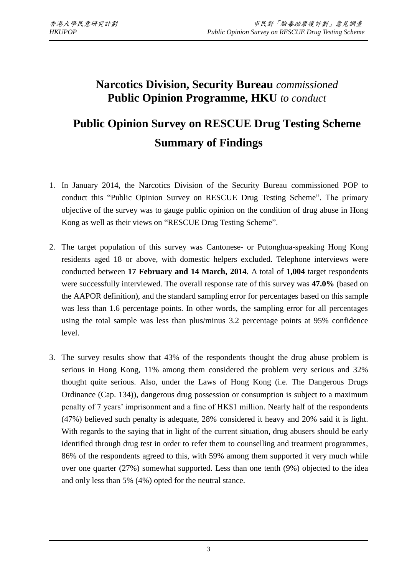## **Narcotics Division, Security Bureau** *commissioned* **Public Opinion Programme, HKU** *to conduct*

## **Public Opinion Survey on RESCUE Drug Testing Scheme Summary of Findings**

- 1. In January 2014, the Narcotics Division of the Security Bureau commissioned POP to conduct this "Public Opinion Survey on RESCUE Drug Testing Scheme". The primary objective of the survey was to gauge public opinion on the condition of drug abuse in Hong Kong as well as their views on "RESCUE Drug Testing Scheme".
- 2. The target population of this survey was Cantonese- or Putonghua-speaking Hong Kong residents aged 18 or above, with domestic helpers excluded. Telephone interviews were conducted between **17 February and 14 March, 2014**. A total of **1,004** target respondents were successfully interviewed. The overall response rate of this survey was **47.0%** (based on the AAPOR definition), and the standard sampling error for percentages based on this sample was less than 1.6 percentage points. In other words, the sampling error for all percentages using the total sample was less than plus/minus 3.2 percentage points at 95% confidence level.
- 3. The survey results show that 43% of the respondents thought the drug abuse problem is serious in Hong Kong, 11% among them considered the problem very serious and 32% thought quite serious. Also, under the Laws of Hong Kong (i.e. The Dangerous Drugs Ordinance (Cap. 134)), dangerous drug possession or consumption is subject to a maximum penalty of 7 years' imprisonment and a fine of HK\$1 million. Nearly half of the respondents (47%) believed such penalty is adequate, 28% considered it heavy and 20% said it is light. With regards to the saying that in light of the current situation, drug abusers should be early identified through drug test in order to refer them to counselling and treatment programmes, 86% of the respondents agreed to this, with 59% among them supported it very much while over one quarter (27%) somewhat supported. Less than one tenth (9%) objected to the idea and only less than 5% (4%) opted for the neutral stance.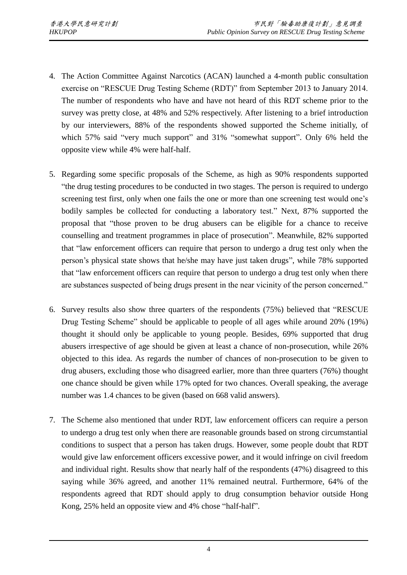- 4. The Action Committee Against Narcotics (ACAN) launched a 4-month public consultation exercise on "RESCUE Drug Testing Scheme (RDT)" from September 2013 to January 2014. The number of respondents who have and have not heard of this RDT scheme prior to the survey was pretty close, at 48% and 52% respectively. After listening to a brief introduction by our interviewers, 88% of the respondents showed supported the Scheme initially, of which 57% said "very much support" and 31% "somewhat support". Only 6% held the opposite view while 4% were half-half.
- 5. Regarding some specific proposals of the Scheme, as high as 90% respondents supported "the drug testing procedures to be conducted in two stages. The person is required to undergo screening test first, only when one fails the one or more than one screening test would one's bodily samples be collected for conducting a laboratory test." Next, 87% supported the proposal that "those proven to be drug abusers can be eligible for a chance to receive counselling and treatment programmes in place of prosecution". Meanwhile, 82% supported that "law enforcement officers can require that person to undergo a drug test only when the person's physical state shows that he/she may have just taken drugs", while 78% supported that "law enforcement officers can require that person to undergo a drug test only when there are substances suspected of being drugs present in the near vicinity of the person concerned."
- 6. Survey results also show three quarters of the respondents (75%) believed that "RESCUE Drug Testing Scheme" should be applicable to people of all ages while around 20% (19%) thought it should only be applicable to young people. Besides, 69% supported that drug abusers irrespective of age should be given at least a chance of non-prosecution, while 26% objected to this idea. As regards the number of chances of non-prosecution to be given to drug abusers, excluding those who disagreed earlier, more than three quarters (76%) thought one chance should be given while 17% opted for two chances. Overall speaking, the average number was 1.4 chances to be given (based on 668 valid answers).
- 7. The Scheme also mentioned that under RDT, law enforcement officers can require a person to undergo a drug test only when there are reasonable grounds based on strong circumstantial conditions to suspect that a person has taken drugs. However, some people doubt that RDT would give law enforcement officers excessive power, and it would infringe on civil freedom and individual right. Results show that nearly half of the respondents (47%) disagreed to this saying while 36% agreed, and another 11% remained neutral. Furthermore, 64% of the respondents agreed that RDT should apply to drug consumption behavior outside Hong Kong, 25% held an opposite view and 4% chose "half-half".